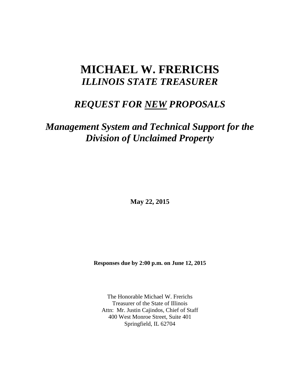# **MICHAEL W. FRERICHS** *ILLINOIS STATE TREASURER*

## *REQUEST FOR NEW PROPOSALS*

## *Management System and Technical Support for the Division of Unclaimed Property*

**May 22, 2015**

**Responses due by 2:00 p.m. on June 12, 2015**

The Honorable Michael W. Frerichs Treasurer of the State of Illinois Attn: Mr. Justin Cajindos, Chief of Staff 400 West Monroe Street, Suite 401 Springfield, IL 62704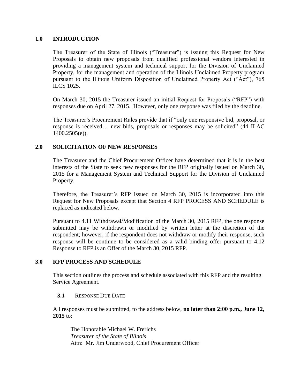## **1.0 INTRODUCTION**

The Treasurer of the State of Illinois ("Treasurer") is issuing this Request for New Proposals to obtain new proposals from qualified professional vendors interested in providing a management system and technical support for the Division of Unclaimed Property, for the management and operation of the Illinois Unclaimed Property program pursuant to the Illinois Uniform Disposition of Unclaimed Property Act ("Act"), 765 ILCS 1025.

On March 30, 2015 the Treasurer issued an initial Request for Proposals ("RFP") with responses due on April 27, 2015. However, only one response was filed by the deadline.

The Treasurer's Procurement Rules provide that if "only one responsive bid, proposal, or response is received… new bids, proposals or responses may be solicited" (44 ILAC 1400.2505(e)).

## **2.0 SOLICITATION OF NEW RESPONSES**

The Treasurer and the Chief Procurement Officer have determined that it is in the best interests of the State to seek new responses for the RFP originally issued on March 30, 2015 for a Management System and Technical Support for the Division of Unclaimed Property.

Therefore, the Treasurer's RFP issued on March 30, 2015 is incorporated into this Request for New Proposals except that Section 4 RFP PROCESS AND SCHEDULE is replaced as indicated below.

Pursuant to 4.11 Withdrawal/Modification of the March 30, 2015 RFP, the one response submitted may be withdrawn or modified by written letter at the discretion of the respondent; however, if the respondent does not withdraw or modify their response, such response will be continue to be considered as a valid binding offer pursuant to 4.12 Response to RFP is an Offer of the March 30, 2015 RFP.

### **3.0 RFP PROCESS AND SCHEDULE**

This section outlines the process and schedule associated with this RFP and the resulting Service Agreement.

### **3.1** RESPONSE DUE DATE

All responses must be submitted, to the address below, **no later than 2:00 p.m., June 12, 2015** to:

The Honorable Michael W. Frerichs *Treasurer of the State of Illinois* Attn: Mr. Jim Underwood, Chief Procurement Officer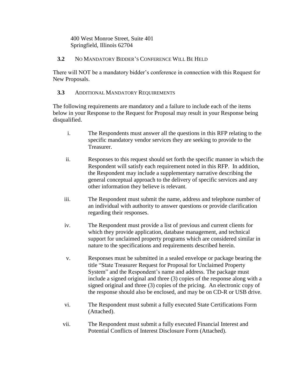400 West Monroe Street, Suite 401 Springfield, Illinois 62704

## **3.2** NO MANDATORY BIDDER'S CONFERENCE WILL BE HELD

There will NOT be a mandatory bidder's conference in connection with this Request for New Proposals.

## **3.3** ADDITIONAL MANDATORY REQUIREMENTS

The following requirements are mandatory and a failure to include each of the items below in your Response to the Request for Proposal may result in your Response being disqualified.

- i. The Respondents must answer all the questions in this RFP relating to the specific mandatory vendor services they are seeking to provide to the Treasurer.
- ii. Responses to this request should set forth the specific manner in which the Respondent will satisfy each requirement noted in this RFP. In addition, the Respondent may include a supplementary narrative describing the general conceptual approach to the delivery of specific services and any other information they believe is relevant.
- iii. The Respondent must submit the name, address and telephone number of an individual with authority to answer questions or provide clarification regarding their responses.
- iv. The Respondent must provide a list of previous and current clients for which they provide application, database management, and technical support for unclaimed property programs which are considered similar in nature to the specifications and requirements described herein.
- v. Responses must be submitted in a sealed envelope or package bearing the title "State Treasurer Request for Proposal for Unclaimed Property System" and the Respondent's name and address. The package must include a signed original and three (3) copies of the response along with a signed original and three (3) copies of the pricing. An electronic copy of the response should also be enclosed, and may be on CD-R or USB drive.
- vi. The Respondent must submit a fully executed State Certifications Form (Attached).
- vii. The Respondent must submit a fully executed Financial Interest and Potential Conflicts of Interest Disclosure Form (Attached).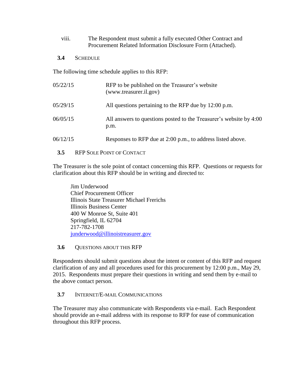viii. The Respondent must submit a fully executed Other Contract and Procurement Related Information Disclosure Form (Attached).

## **3.4** SCHEDULE

The following time schedule applies to this RFP:

| 05/22/15 | RFP to be published on the Treasurer's website<br>(www.treasurer.il.gov)   |
|----------|----------------------------------------------------------------------------|
| 05/29/15 | All questions pertaining to the RFP due by 12:00 p.m.                      |
| 06/05/15 | All answers to questions posted to the Treasurer's website by 4:00<br>p.m. |
| 06/12/15 | Responses to RFP due at 2:00 p.m., to address listed above.                |

## **3.5** RFP SOLE POINT OF CONTACT

The Treasurer is the sole point of contact concerning this RFP. Questions or requests for clarification about this RFP should be in writing and directed to:

Jim Underwood Chief Procurement Officer Illinois State Treasurer Michael Frerichs Illinois Business Center 400 W Monroe St, Suite 401 Springfield, IL 62704 217-782-1708 [junderwood@illinoistreasurer.gov](mailto:junderwood@illinoistreasurer.gov)

## **3.6** QUESTIONS ABOUT THIS RFP

Respondents should submit questions about the intent or content of this RFP and request clarification of any and all procedures used for this procurement by 12:00 p.m., May 29, 2015. Respondents must prepare their questions in writing and send them by e-mail to the above contact person.

## **3.7** INTERNET/E-MAIL COMMUNICATIONS

The Treasurer may also communicate with Respondents via e-mail. Each Respondent should provide an e-mail address with its response to RFP for ease of communication throughout this RFP process.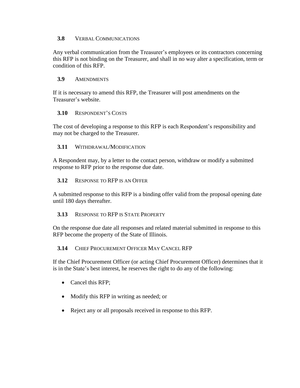### **3.8** VERBAL COMMUNICATIONS

Any verbal communication from the Treasurer's employees or its contractors concerning this RFP is not binding on the Treasurer, and shall in no way alter a specification, term or condition of this RFP.

## **3.9** AMENDMENTS

If it is necessary to amend this RFP, the Treasurer will post amendments on the Treasurer's website.

## **3.10** RESPONDENT'S COSTS

The cost of developing a response to this RFP is each Respondent's responsibility and may not be charged to the Treasurer.

### **3.11** WITHDRAWAL/MODIFICATION

A Respondent may, by a letter to the contact person, withdraw or modify a submitted response to RFP prior to the response due date.

### **3.12** RESPONSE TO RFP IS AN OFFER

A submitted response to this RFP is a binding offer valid from the proposal opening date until 180 days thereafter.

### **3.13** RESPONSE TO RFP IS STATE PROPERTY

On the response due date all responses and related material submitted in response to this RFP become the property of the State of Illinois.

### **3.14** CHIEF PROCUREMENT OFFICER MAY CANCEL RFP

If the Chief Procurement Officer (or acting Chief Procurement Officer) determines that it is in the State's best interest, he reserves the right to do any of the following:

- Cancel this RFP;
- Modify this RFP in writing as needed; or
- Reject any or all proposals received in response to this RFP.